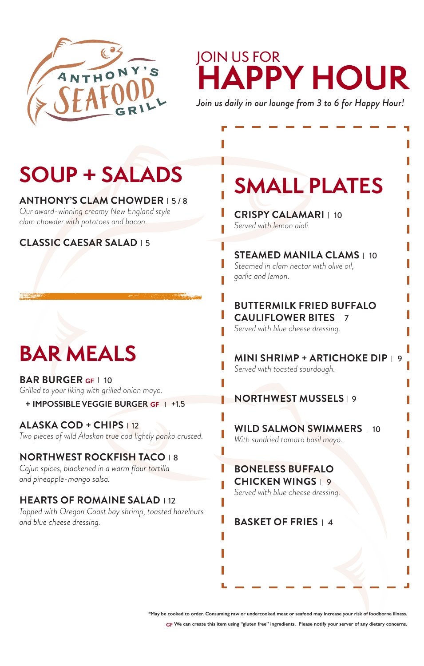

JOIN US FOR **HAPPY HOUR**

*Join us daily in our lounge from 3 to 6 for Happy Hour!*

## **SOUP + SALADS**

**ANTHONY'S CLAM CHOWDER** 15/8 *Our award-winning creamy New England style clam chowder with potatoes and bacon.* 

**CLASSIC CAESAR SALAD** 15

## **BAR MEALS**

**BAR BURGER GF** 10 *Grilled to your liking with grilled onion mayo.* 

**+ IMPOSSIBLE VEGGIE BURGER GF | +1.5** 

**ALASKA COD + CHIPS** | 12 *Two pieces of wild Alaskan true cod lightly panko crusted.*

**NORTHWEST ROCKFISH TACO** 18 *Cajun spices, blackened in a warm flour tortilla and pineapple-mango salsa.* 

#### **HEARTS OF ROMAINE SALAD** 12 *Topped with Oregon Coast bay shrimp, toasted hazelnuts and blue cheese dressing.*

# **SMALL PLATES**

**CRISPY CALAMARI** | 10 *Served with lemon aioli.*

**STEAMED MANILA CLAMS** 10 *Steamed in clam nectar with olive oil, garlic and lemon.*

**BUTTERMILK FRIED BUFFALO CAULIFLOWER BITES** | 7 *Served with blue cheese dressing.* 

**MINI SHRIMP + ARTICHOKE DIP** | 9 *Served with toasted sourdough.* 

### **NORTHWEST MUSSELS** 19

**WILD SALMON SWIMMERS** | 10 *With sundried tomato basil mayo.*

**BONELESS BUFFALO CHICKEN WINGS** | 9 *Served with blue cheese dressing.* 

**BASKET OF FRIES** | 4

**\*May be cooked to order. Consuming raw or undercooked meat or seafood may increase your risk of foodborne illness. GF We can create this item using "gluten free" ingredients. Please notify your server of any dietary concerns.**